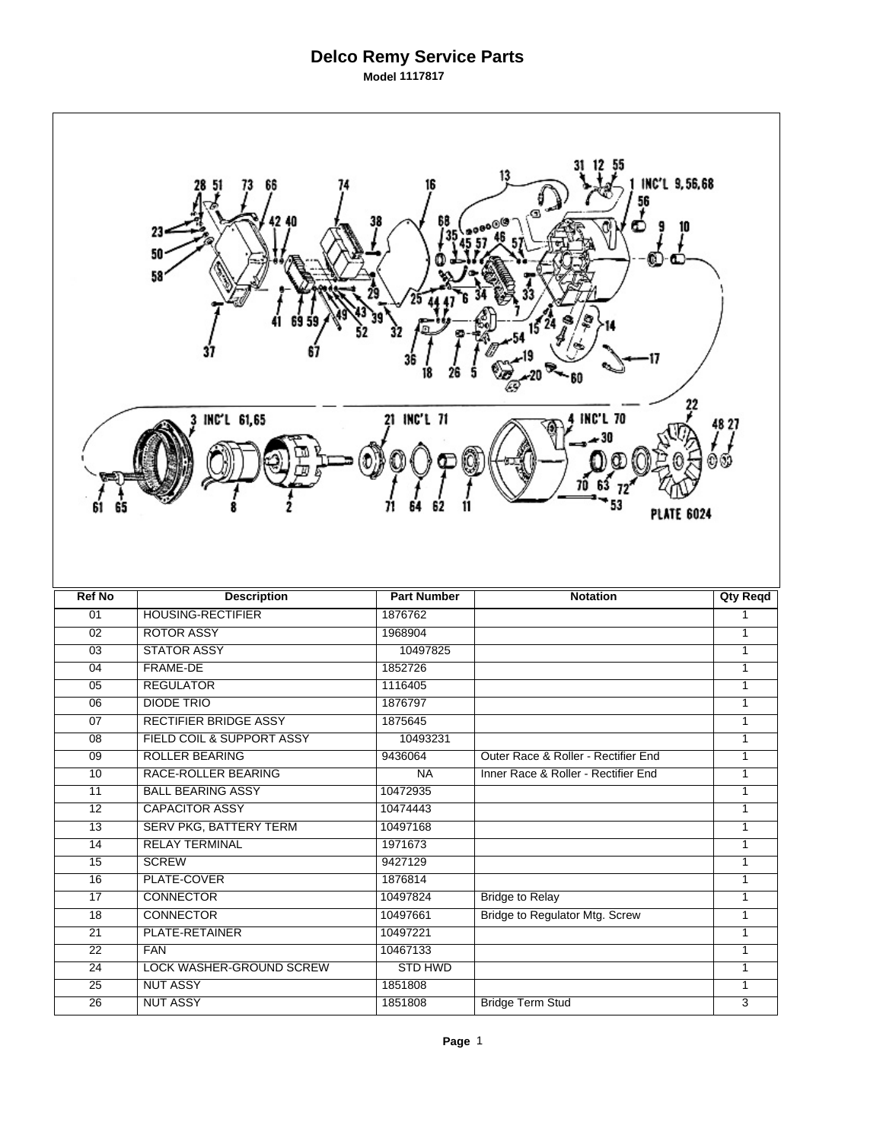## **Delco Remy Service Parts Model 1117817**

| 13<br>INC'L 9,56,68<br>56<br>68<br>38<br>90®<br>Œ<br>23<br>50<br>58<br>21 INC'L 71<br><b>INC'L 70</b><br>INC'L 61,65<br>48 ZT<br>61<br><b>PLATE 6024</b> |                                                    |                      |                                       |                   |  |  |  |
|----------------------------------------------------------------------------------------------------------------------------------------------------------|----------------------------------------------------|----------------------|---------------------------------------|-------------------|--|--|--|
|                                                                                                                                                          |                                                    |                      |                                       |                   |  |  |  |
|                                                                                                                                                          |                                                    |                      |                                       |                   |  |  |  |
| <b>Ref No</b>                                                                                                                                            | <b>Description</b>                                 | <b>Part Number</b>   | <b>Notation</b>                       | <b>Qty Reqd</b>   |  |  |  |
| 01                                                                                                                                                       | <b>HOUSING-RECTIFIER</b>                           | 1876762              |                                       | 1                 |  |  |  |
| 02                                                                                                                                                       | <b>ROTOR ASSY</b>                                  | 1968904              |                                       | $\mathbf{1}$      |  |  |  |
| $\overline{03}$                                                                                                                                          | <b>STATOR ASSY</b>                                 | 10497825             |                                       | $\mathbf{1}$      |  |  |  |
| 04                                                                                                                                                       | <b>FRAME-DE</b>                                    | 1852726              |                                       | $\mathbf{1}$      |  |  |  |
| 05                                                                                                                                                       | <b>REGULATOR</b>                                   | 1116405              |                                       | 1                 |  |  |  |
| $\overline{06}$                                                                                                                                          | <b>DIODE TRIO</b>                                  | 1876797              |                                       | 1                 |  |  |  |
| 07                                                                                                                                                       | <b>RECTIFIER BRIDGE ASSY</b>                       | 1875645              |                                       | $\mathbf{1}$      |  |  |  |
| 08<br>$\overline{09}$                                                                                                                                    | FIELD COIL & SUPPORT ASSY<br><b>ROLLER BEARING</b> | 10493231<br>9436064  | Outer Race & Roller - Rectifier End   | 1<br>$\mathbf{1}$ |  |  |  |
|                                                                                                                                                          |                                                    |                      |                                       | $\mathbf{1}$      |  |  |  |
| 10<br>11                                                                                                                                                 | RACE-ROLLER BEARING<br><b>BALL BEARING ASSY</b>    | NA                   | Inner Race & Roller - Rectifier End   | 1                 |  |  |  |
| $\overline{12}$                                                                                                                                          | <b>CAPACITOR ASSY</b>                              | 10472935<br>10474443 |                                       | $\mathbf{1}$      |  |  |  |
| $\overline{13}$                                                                                                                                          | <b>SERV PKG, BATTERY TERM</b>                      | 10497168             |                                       | $\mathbf{1}$      |  |  |  |
| 14                                                                                                                                                       | <b>RELAY TERMINAL</b>                              | 1971673              |                                       | $\mathbf{1}$      |  |  |  |
| $\overline{15}$                                                                                                                                          | <b>SCREW</b>                                       | 9427129              |                                       | $\mathbf{1}$      |  |  |  |
| 16                                                                                                                                                       | PLATE-COVER                                        | 1876814              |                                       | $\mathbf{1}$      |  |  |  |
| 17                                                                                                                                                       | <b>CONNECTOR</b>                                   | 10497824             | <b>Bridge to Relay</b>                | $\mathbf{1}$      |  |  |  |
| $\overline{18}$                                                                                                                                          | <b>CONNECTOR</b>                                   | 10497661             | <b>Bridge to Regulator Mtg. Screw</b> | $\mathbf{1}$      |  |  |  |
| 21                                                                                                                                                       | PLATE-RETAINER                                     | 10497221             |                                       | $\mathbf{1}$      |  |  |  |
| $\overline{22}$                                                                                                                                          | <b>FAN</b>                                         | 10467133             |                                       | $\mathbf{1}$      |  |  |  |
| $\overline{24}$                                                                                                                                          | <b>LOCK WASHER-GROUND SCREW</b>                    | <b>STD HWD</b>       |                                       | 1                 |  |  |  |
| $\overline{25}$                                                                                                                                          | <b>NUT ASSY</b><br><b>NUT ASSY</b>                 | 1851808<br>1851808   | <b>Bridge Term Stud</b>               | 1                 |  |  |  |